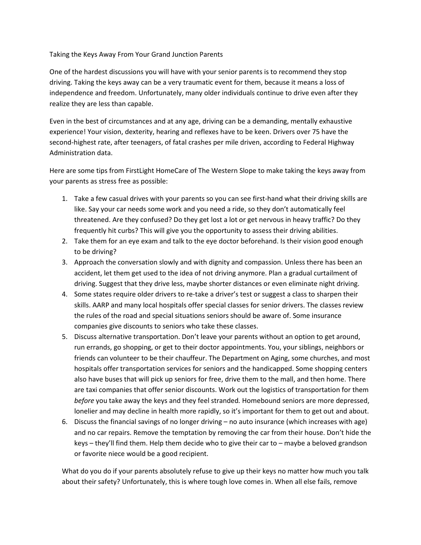## Taking the Keys Away From Your Grand Junction Parents

One of the hardest discussions you will have with your senior parents is to recommend they stop driving. Taking the keys away can be a very traumatic event for them, because it means a loss of independence and freedom. Unfortunately, many older individuals continue to drive even after they realize they are less than capable.

Even in the best of circumstances and at any age, driving can be a demanding, mentally exhaustive experience! Your vision, dexterity, hearing and reflexes have to be keen. Drivers over 75 have the second-highest rate, after teenagers, of fatal crashes per mile driven, according to Federal Highway Administration data.

Here are some tips from FirstLight HomeCare of The Western Slope to make taking the keys away from your parents as stress free as possible:

- 1. Take a few casual drives with your parents so you can see first-hand what their driving skills are like. Say your car needs some work and you need a ride, so they don't automatically feel threatened. Are they confused? Do they get lost a lot or get nervous in heavy traffic? Do they frequently hit curbs? This will give you the opportunity to assess their driving abilities.
- 2. Take them for an eye exam and talk to the eye doctor beforehand. Is their vision good enough to be driving?
- 3. Approach the conversation slowly and with dignity and compassion. Unless there has been an accident, let them get used to the idea of not driving anymore. Plan a gradual curtailment of driving. Suggest that they drive less, maybe shorter distances or even eliminate night driving.
- 4. Some states require older drivers to re-take a driver's test or suggest a class to sharpen their skills. AARP and many local hospitals offer special classes for senior drivers. The classes review the rules of the road and special situations seniors should be aware of. Some insurance companies give discounts to seniors who take these classes.
- 5. Discuss alternative transportation. Don't leave your parents without an option to get around, run errands, go shopping, or get to their doctor appointments. You, your siblings, neighbors or friends can volunteer to be their chauffeur. The Department on Aging, some churches, and most hospitals offer transportation services for seniors and the handicapped. Some shopping centers also have buses that will pick up seniors for free, drive them to the mall, and then home. There are taxi companies that offer senior discounts. Work out the logistics of transportation for them *before* you take away the keys and they feel stranded*.* Homebound seniors are more depressed, lonelier and may decline in health more rapidly, so it's important for them to get out and about.
- 6. Discuss the financial savings of no longer driving no auto insurance (which increases with age) and no car repairs. Remove the temptation by removing the car from their house. Don't hide the keys – they'll find them. Help them decide who to give their car to – maybe a beloved grandson or favorite niece would be a good recipient.

What do you do if your parents absolutely refuse to give up their keys no matter how much you talk about their safety? Unfortunately, this is where tough love comes in. When all else fails, remove